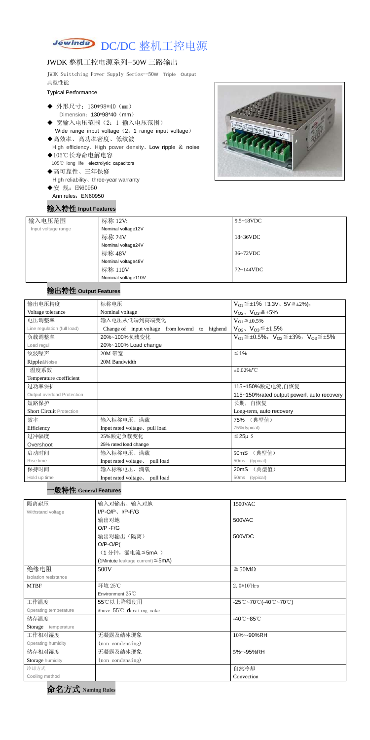

#### JWDK 整机工控电源系列--50W 三路输出

JWDK Swittching Power Supply Series--50**W Triple Output** 典型性能

#### Typical Performance

- ◆ 外形尺寸: 130\*98\*40 (mm) Dimension: 130\*98\*40 (mm)
- ◆ 宽输入电压范围(2:1 输入电压范围) Wide range input voltage (2: 1 range input voltage)
- ◆高效率、高功率密度、低纹波 High efficiency、High power density、Low ripple & noise
- ◆105℃长寿命电解电容 105℃ long life electrolytic capacitors
- ◆高可靠性、三年保修 High reliability、three-year warranty
- ◆安 规: EN60950 Ann rules: EN60950

### 输入特性 **Input Features**



| 输入电压范围              | 标称 12V:             | $9.5 \sim 18$ VDC |
|---------------------|---------------------|-------------------|
| Input voltage range | Nominal voltage12V  |                   |
|                     | 标称 24V              | 18~36VDC          |
|                     | Nominal voltage24V  |                   |
|                     | 标称 48V              | $36~72$ VDC       |
|                     | Nominal voltage48V  |                   |
|                     | 标称 110V             | $72 \sim 144$ VDC |
|                     | Nominal voltage110V |                   |

# 输出特性 **Output Features**

#### 一般特性 **General Features**



| 输出电压精度                          | 标称电压                                              | $V_{01} \leq \pm 1\%$ (3.3V, 5V $\leq \pm 2\%$ ),                                                                                                                                                                                                                                                                                       |  |
|---------------------------------|---------------------------------------------------|-----------------------------------------------------------------------------------------------------------------------------------------------------------------------------------------------------------------------------------------------------------------------------------------------------------------------------------------|--|
| Voltage tolerance               | Nominal voltage                                   | $V_{O2}$ , $V_{O3} \leq \pm 5\%$                                                                                                                                                                                                                                                                                                        |  |
| 电压调整率                           | 输入电压从低端到高端变化                                      | $V_{O1} \leq \pm 0.5\%$                                                                                                                                                                                                                                                                                                                 |  |
| Line regulation (full load)     | highend<br>Change of input voltage from lowend to | $V_{O2}$ , $V_{O3} \leq \pm 1.5\%$                                                                                                                                                                                                                                                                                                      |  |
| 负载调整率                           | 20%~100%负载变化                                      | $V_{O1} \leq \pm 0.5\%$ , $V_{O2} \leq \pm 3\%$ , $V_{O3} \leq \pm 5\%$                                                                                                                                                                                                                                                                 |  |
| Load regul                      | 20%~100% Load change                              |                                                                                                                                                                                                                                                                                                                                         |  |
| 纹波噪声                            | 20M 带宽                                            | $\leq 1\%$                                                                                                                                                                                                                                                                                                                              |  |
| Ripple&Noise                    | 20M Bandwidth                                     |                                                                                                                                                                                                                                                                                                                                         |  |
| 温度系数                            |                                                   | $\pm 0.02\%$ /°C                                                                                                                                                                                                                                                                                                                        |  |
| Temperature coefficient         |                                                   |                                                                                                                                                                                                                                                                                                                                         |  |
| 过功率保护                           |                                                   | 115~150%额定电流,自恢复                                                                                                                                                                                                                                                                                                                        |  |
| Output overload Protection      |                                                   | 115~150% rated output powerl, auto recovery                                                                                                                                                                                                                                                                                             |  |
| 短路保护                            |                                                   | 长期, 自恢复                                                                                                                                                                                                                                                                                                                                 |  |
| <b>Short Circuit Protection</b> |                                                   | Long-term, auto recovery                                                                                                                                                                                                                                                                                                                |  |
| 效率                              | 输入标称电压、满载                                         | 75% (典型值)                                                                                                                                                                                                                                                                                                                               |  |
| Efficiency                      | Input rated voltage, pull load                    | 75%(typical)                                                                                                                                                                                                                                                                                                                            |  |
| 过冲幅度                            | 25%额定负载变化                                         | $≤25\mu$ S                                                                                                                                                                                                                                                                                                                              |  |
| Overshoot                       | 25% rated load change                             |                                                                                                                                                                                                                                                                                                                                         |  |
| 启动时间                            | 输入标称电压、满载                                         | (典型值)<br>50mS                                                                                                                                                                                                                                                                                                                           |  |
| Rise time                       | Input rated voltage, pull load                    | (typical)<br>50 <sub>ms</sub>                                                                                                                                                                                                                                                                                                           |  |
| 石挂時間                            | <b>ね)七を市圧、悪悪</b>                                  | $\Omega$ $\Omega$ $\sim$ $\Omega$ $\Omega$ $\mathbb{R}$ $\mathbb{R}$ $\mathbb{R}$ $\mathbb{R}$ $\mathbb{R}$ $\mathbb{R}$ $\mathbb{R}$ $\mathbb{R}$ $\mathbb{R}$ $\mathbb{R}$ $\mathbb{R}$ $\mathbb{R}$ $\mathbb{R}$ $\mathbb{R}$ $\mathbb{R}$ $\mathbb{R}$ $\mathbb{R}$ $\mathbb{R}$ $\mathbb{R}$ $\mathbb{R}$ $\mathbb{R}$ $\mathbb{R$ |  |

| 保持时间         | 输入标称电压、满载                      | (典型值)<br>20mS  |  |
|--------------|--------------------------------|----------------|--|
| Hold up time | Input rated voltage, pull load | 50ms (typical) |  |

| 隔离耐压                  | 输入对输出、输入对地                                | 1500VAC                                                                               |
|-----------------------|-------------------------------------------|---------------------------------------------------------------------------------------|
| Withstand voltage     | $I/P$ -O/P, $I/P$ -F/G                    |                                                                                       |
|                       | 输出对地                                      | 500VAC                                                                                |
|                       | $O/P - F/G$                               |                                                                                       |
|                       | 输出对输出(隔离)                                 | 500VDC                                                                                |
|                       | $O/P-O/P($                                |                                                                                       |
|                       | (1分钟,漏电流 ≦ 5mA)                           |                                                                                       |
|                       | $(1$ Mintute leakage current) $\leq$ 5mA) |                                                                                       |
| 绝缘电阻                  | 500V                                      | $\geq$ 50M $\Omega$                                                                   |
| Isolation resistance  |                                           |                                                                                       |
| <b>MTBF</b>           | 环境 25℃                                    | $2.0*105$ Hrs                                                                         |
|                       | Environment 25°C                          |                                                                                       |
| 工作温度                  | 55℃以上降额使用                                 | $-25^{\circ}\text{C}-70^{\circ}\text{C}$ (-40 $^{\circ}\text{C}-70^{\circ}\text{C}$ ) |
| Operating temperature | Above 55°C derating make                  |                                                                                       |
| 储存温度                  |                                           | $-40^{\circ}$ C $-85^{\circ}$ C                                                       |
| Storage temperature   |                                           |                                                                                       |
| 工作相对湿度                | 无凝露及结冰现象                                  | 10%~-90%RH                                                                            |
| Operating humidity    | (non condensing)                          |                                                                                       |
| 储存相对湿度                | 无凝露及结冰现象                                  | 5%~-95%RH                                                                             |
| Storage humidity      | (non condensing)                          |                                                                                       |
| 冷却方式                  |                                           | 自然冷却                                                                                  |
| Cooling method        |                                           | Convection                                                                            |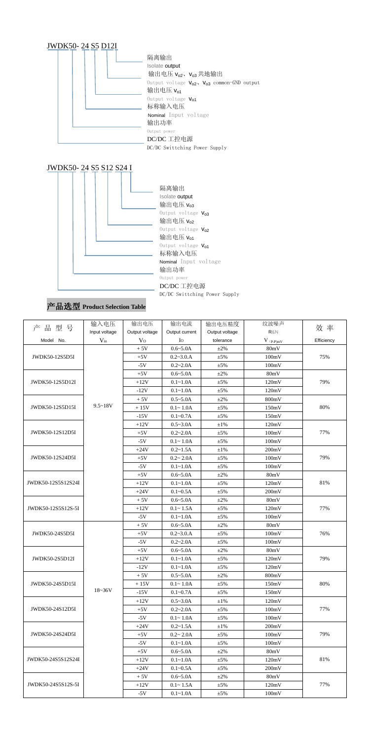

# 产品选型 **Product Selection Table**

|                    | 输入电压          | 输出电压           | 输出电流           | 输出电压精度         | 纹波噪声        |            |
|--------------------|---------------|----------------|----------------|----------------|-------------|------------|
| 产品型号               | Input voltage | Output voltage | Output current | Output voltage | R&N         | 效 率        |
| Model No.          | $V_{in}$      | $\rm V_{O}$    | Io             | tolerance      | $V$ (p-p)mV | Efficiency |
|                    |               | $+5V$          | $0.6 - 5.0A$   | $\pm 2\%$      | 80mV        |            |
| JWDK50-12S5D5I     |               | $+5V$          | $0.2 - 3.0.A$  | $\pm 5\%$      | 100mV       | 75%        |
|                    |               | $-5V$          | $0.2 - 2.0A$   | $\pm 5\%$      | 100mV       |            |
|                    |               | $+5V$          | $0.6 - 5.0A$   | $\pm 2\%$      | 80mV        |            |
| JWDK50-12S5D12I    |               | $+12V$         | $0.1 - 1.0A$   | $\pm$ 5%       | 120mV       | 79%        |
|                    |               | $-12V$         | $0.1 - 1.0A$   | $\pm 5\%$      | 120mV       |            |
|                    |               | $+5V$          | $0.5 - 5.0A$   | $\pm 2\%$      | 800mV       |            |
| JWDK50-12S5D15I    | $9.5 - 18V$   | $+15V$         | $0.1 - 1.0A$   | $\pm$ 5%       | 150mV       | 80%        |
|                    |               | $-15V$         | $0.1 - 0.7A$   | $\pm 5\%$      | 150mV       |            |
|                    |               | $+12V$         | $0.5 - 3.0A$   | $\pm1\%$       | 120mV       |            |
| JWDK50-12S12D5I    |               | $+5V$          | $0.2 - 2.0A$   | $\pm 5\%$      | 100mV       | 77%        |
|                    |               | $-5V$          | $0.1 - 1.0A$   | $\pm 5\%$      | 100mV       |            |
|                    |               | $+24V$         | $0.2 - 1.5A$   | $\pm1\%$       | 200mV       |            |
| JWDK50-12S24D5I    |               | $+5V$          | $0.2 - 2.0A$   | $\pm 5\%$      | 100mV       | 79%        |
|                    |               | $-5V$          | $0.1 - 1.0A$   | $\pm 5\%$      | 100mV       |            |
|                    |               | $+5V$          | $0.6 - 5.0A$   | $\pm 2\%$      | 80mV        |            |
| JWDK50-12S5S12S24I |               | $+12V$         | $0.1 - 1.0A$   | $\pm 5\%$      | 120mV       | 81%        |
|                    |               | $+24V$         | $0.1 - 0.5A$   | $\pm 5\%$      | 200mV       |            |
|                    |               | $+5V$          | $0.6 - 5.0A$   | $\pm 2\%$      | 80mV        |            |
| JWDK50-12S5S12S-5I |               | $+12V$         | $0.1 - 1.5A$   | $\pm 5\%$      | 120mV       | 77%        |
|                    |               | $-5V$          | $0.1 - 1.0A$   | $\pm 5\%$      | 100mV       |            |
|                    |               | $+5V$          | $0.6 - 5.0A$   | $\pm 2\%$      | 80mV        |            |
| JWDK50-24S5D5I     |               | $+5V$          | $0.2 - 3.0.A$  | $\pm 5\%$      | 100mV       | 76%        |
|                    |               | $-5V$          | $0.2 - 2.0A$   | $\pm 5\%$      | 100mV       |            |
|                    |               | $+5V$          | $0.6 - 5.0A$   | $\pm 2\%$      | 80mV        |            |
| JWDK50-2S5D12I     |               | $+12V$         | $0.1 - 1.0A$   | $\pm 5\%$      | 120mV       | 79%        |
|                    |               | $-12V$         | $0.1 - 1.0A$   | $\pm$ 5%       | 120mV       |            |
|                    |               | $+5V$          | $0.5 - 5.0A$   | $\pm 2\%$      | 800mV       |            |
| JWDK50-24S5D15I    |               | $+15V$         | $0.1 - 1.0A$   | $\pm 5\%$      | 150mV       | 80%        |
|                    | $18 - 36V$    | $-15V$         | $0.1 - 0.7A$   | $\pm$ 5%       | 150mV       |            |
|                    |               | $+12V$         | $0.5 - 3.0A$   | $\pm 1\%$      | 120mV       |            |
| JWDK50-24S12D5I    |               | $+5V$          | $0.2 - 2.0A$   | $\pm 5\%$      | 100mV       | 77%        |
|                    |               | $-5V$          | $0.1 - 1.0A$   | $\pm$ 5%       | 100mV       |            |
|                    |               | $+24V$         | $0.2 - 1.5A$   | $\pm 1\%$      | 200mV       |            |
| JWDK50-24S24D5I    |               | $+5V$          | $0.2 - 2.0A$   | $\pm$ 5%       | 100mV       | 79%        |
|                    |               | $-5V$          | $0.1 - 1.0A$   | $\pm$ 5%       | 100mV       |            |
|                    |               | $+5V$          | $0.6 - 5.0A$   | $\pm 2\%$      | 80mV        |            |
| JWDK50-24S5S12S24I |               | $+12V$         | $0.1 - 1.0A$   | $\pm$ 5%       | 120mV       | 81%        |
|                    |               | $+24V$         | $0.1 - 0.5A$   | $\pm$ 5%       | 200mV       |            |
|                    |               | $+5V$          | $0.6 - 5.0A$   | $\pm 2\%$      | 80mV        |            |
| JWDK50-24S5S12S-5I |               | $+12V$         | $0.1 - 1.5A$   | $\pm$ 5%       | 120mV       | 77%        |
|                    |               | $-5V$          | $0.1 - 1.0A$   | $\pm$ 5%       | 100mV       |            |